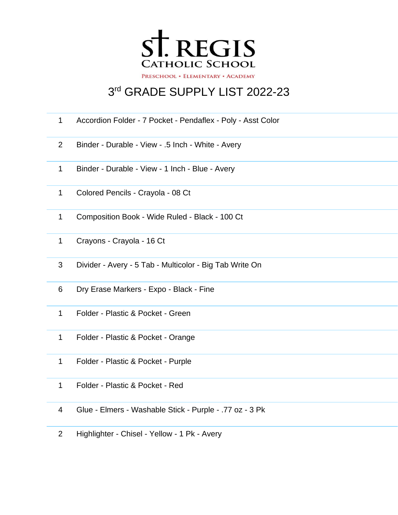

## rd GRADE SUPPLY LIST 2022-23

- Accordion Folder 7 Pocket Pendaflex Poly Asst Color
- Binder Durable View .5 Inch White Avery
- Binder Durable View 1 Inch Blue Avery
- Colored Pencils Crayola 08 Ct
- Composition Book Wide Ruled Black 100 Ct
- Crayons Crayola 16 Ct
- Divider Avery 5 Tab Multicolor Big Tab Write On
- Dry Erase Markers Expo Black Fine
- Folder Plastic & Pocket Green
- Folder Plastic & Pocket Orange
- Folder Plastic & Pocket Purple
- Folder Plastic & Pocket Red
- Glue Elmers Washable Stick Purple .77 oz 3 Pk
- Highlighter Chisel Yellow 1 Pk Avery